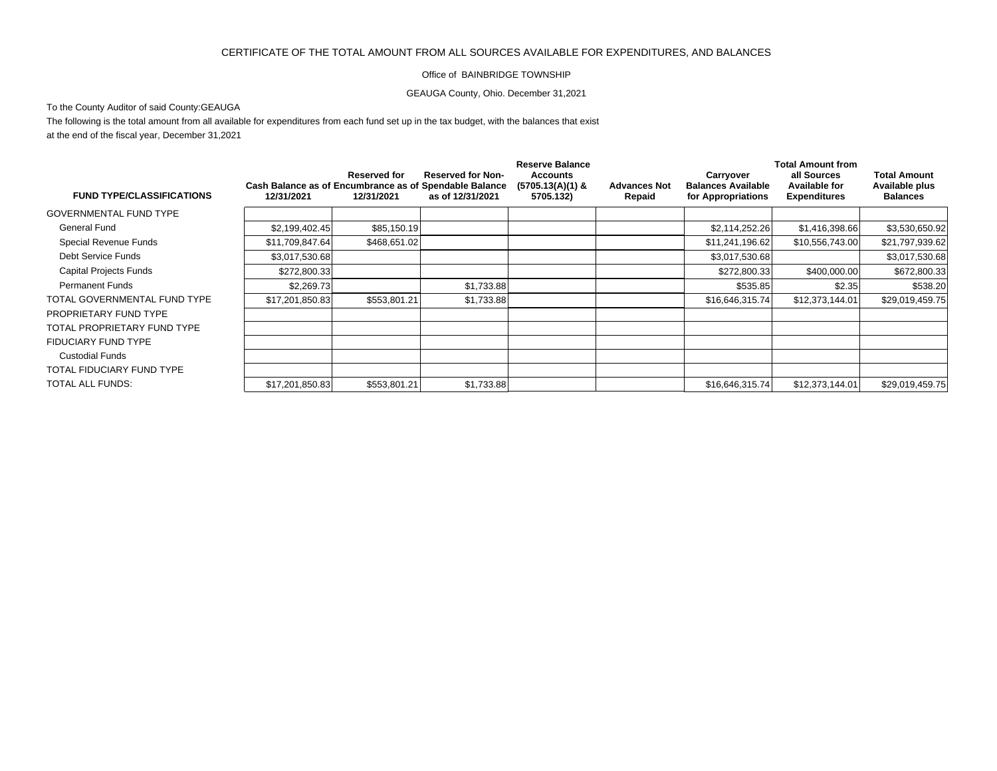## CERTIFICATE OF THE TOTAL AMOUNT FROM ALL SOURCES AVAILABLE FOR EXPENDITURES, AND BALANCES

## Office of BAINBRIDGE TOWNSHIP

GEAUGA County, Ohio. December 31,2021

To the County Auditor of said County:GEAUGA

The following is the total amount from all available for expenditures from each fund set up in the tax budget, with the balances that exist at the end of the fiscal year, December 31,2021

| <b>FUND TYPE/CLASSIFICATIONS</b> |                                                                      |                                   |                                              | <b>Reserve Balance</b>                             |                               | <b>Total Amount from</b>                                     |                                                     |                                                          |
|----------------------------------|----------------------------------------------------------------------|-----------------------------------|----------------------------------------------|----------------------------------------------------|-------------------------------|--------------------------------------------------------------|-----------------------------------------------------|----------------------------------------------------------|
|                                  | Cash Balance as of Encumbrance as of Spendable Balance<br>12/31/2021 | <b>Reserved for</b><br>12/31/2021 | <b>Reserved for Non-</b><br>as of 12/31/2021 | <b>Accounts</b><br>$(5705.13(A)(1)$ &<br>5705.132) | <b>Advances Not</b><br>Repaid | Carryover<br><b>Balances Available</b><br>for Appropriations | all Sources<br>Available for<br><b>Expenditures</b> | <b>Total Amount</b><br>Available plus<br><b>Balances</b> |
| GOVERNMENTAL FUND TYPE           |                                                                      |                                   |                                              |                                                    |                               |                                                              |                                                     |                                                          |
| General Fund                     | \$2,199,402.45                                                       | \$85,150.19                       |                                              |                                                    |                               | \$2,114,252.26                                               | \$1,416,398.66                                      | \$3,530,650.92                                           |
| Special Revenue Funds            | \$11,709,847.64                                                      | \$468,651.02                      |                                              |                                                    |                               | \$11,241,196.62                                              | \$10,556,743.00                                     | \$21,797,939.62                                          |
| Debt Service Funds               | \$3,017,530.68                                                       |                                   |                                              |                                                    |                               | \$3,017,530.68                                               |                                                     | \$3,017,530.68                                           |
| Capital Projects Funds           | \$272,800.33                                                         |                                   |                                              |                                                    |                               | \$272,800.33                                                 | \$400,000.00                                        | \$672,800.33                                             |
| <b>Permanent Funds</b>           | \$2,269.73                                                           |                                   | \$1,733.88                                   |                                                    |                               | \$535.85                                                     | \$2.35                                              | \$538.20                                                 |
| TOTAL GOVERNMENTAL FUND TYPE     | \$17,201,850.83                                                      | \$553,801.21                      | \$1,733.88                                   |                                                    |                               | \$16,646,315.74                                              | \$12,373,144.01                                     | \$29,019,459.75                                          |
| PROPRIETARY FUND TYPE            |                                                                      |                                   |                                              |                                                    |                               |                                                              |                                                     |                                                          |
| TOTAL PROPRIETARY FUND TYPE      |                                                                      |                                   |                                              |                                                    |                               |                                                              |                                                     |                                                          |
| FIDUCIARY FUND TYPE              |                                                                      |                                   |                                              |                                                    |                               |                                                              |                                                     |                                                          |
| <b>Custodial Funds</b>           |                                                                      |                                   |                                              |                                                    |                               |                                                              |                                                     |                                                          |
| TOTAL FIDUCIARY FUND TYPE        |                                                                      |                                   |                                              |                                                    |                               |                                                              |                                                     |                                                          |
| TOTAL ALL FUNDS:                 | \$17,201,850.83                                                      | \$553,801.21                      | \$1,733.88                                   |                                                    |                               | \$16,646,315.74                                              | \$12,373,144.01                                     | \$29,019,459.75                                          |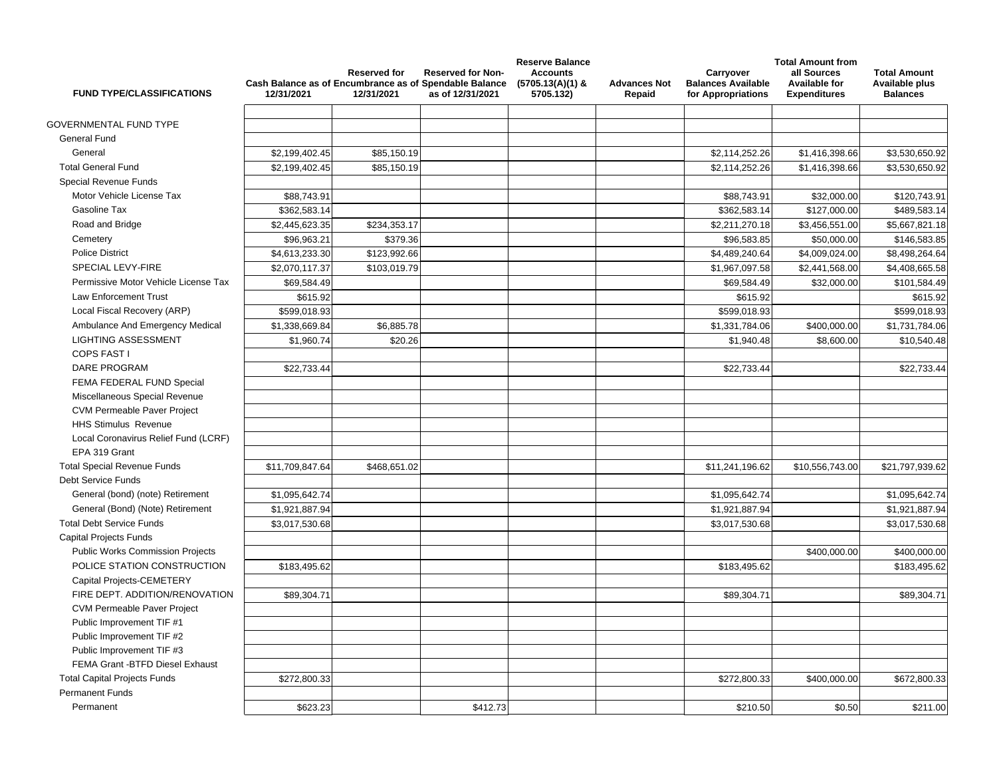| <b>FUND TYPE/CLASSIFICATIONS</b>        | 12/31/2021      | <b>Reserved for</b><br>12/31/2021 | <b>Reserved for Non-</b><br>Cash Balance as of Encumbrance as of Spendable Balance<br>as of 12/31/2021 | <b>Reserve Balance</b><br><b>Accounts</b><br>$(5705.13(A)(1)$ &<br>5705.132) | <b>Advances Not</b><br>Repaid | Carryover<br><b>Balances Available</b><br>for Appropriations | <b>Total Amount from</b><br>all Sources<br><b>Available for</b><br><b>Expenditures</b> | <b>Total Amount</b><br>Available plus<br><b>Balances</b> |
|-----------------------------------------|-----------------|-----------------------------------|--------------------------------------------------------------------------------------------------------|------------------------------------------------------------------------------|-------------------------------|--------------------------------------------------------------|----------------------------------------------------------------------------------------|----------------------------------------------------------|
| <b>GOVERNMENTAL FUND TYPE</b>           |                 |                                   |                                                                                                        |                                                                              |                               |                                                              |                                                                                        |                                                          |
| General Fund                            |                 |                                   |                                                                                                        |                                                                              |                               |                                                              |                                                                                        |                                                          |
| General                                 | \$2,199,402.45  | \$85,150.19                       |                                                                                                        |                                                                              |                               | \$2,114,252.26                                               | \$1,416,398.66                                                                         | \$3,530,650.92                                           |
| <b>Total General Fund</b>               | \$2,199,402.45  | \$85,150.19                       |                                                                                                        |                                                                              |                               | \$2,114,252.26                                               | \$1,416,398.66                                                                         | \$3,530,650.92                                           |
| Special Revenue Funds                   |                 |                                   |                                                                                                        |                                                                              |                               |                                                              |                                                                                        |                                                          |
| Motor Vehicle License Tax               | \$88.743.91     |                                   |                                                                                                        |                                                                              |                               |                                                              |                                                                                        |                                                          |
| Gasoline Tax                            |                 |                                   |                                                                                                        |                                                                              |                               | \$88,743.91                                                  | \$32,000.00                                                                            | \$120,743.91                                             |
|                                         | \$362,583.14    |                                   |                                                                                                        |                                                                              |                               | \$362,583.14                                                 | \$127,000.00                                                                           | \$489,583.14                                             |
| Road and Bridge                         | \$2,445,623.35  | \$234,353.17                      |                                                                                                        |                                                                              |                               | \$2,211,270.18                                               | \$3,456,551.00                                                                         | \$5,667,821.18                                           |
| Cemetery                                | \$96,963.21     | \$379.36                          |                                                                                                        |                                                                              |                               | \$96,583.85                                                  | \$50,000.00                                                                            | \$146,583.85                                             |
| <b>Police District</b>                  | \$4,613,233.30  | \$123,992.66                      |                                                                                                        |                                                                              |                               | \$4,489,240.64                                               | \$4,009,024.00                                                                         | \$8,498,264.64                                           |
| SPECIAL LEVY-FIRE                       | \$2,070,117.37  | \$103,019.79                      |                                                                                                        |                                                                              |                               | \$1,967,097.58                                               | \$2,441,568.00                                                                         | \$4,408,665.58                                           |
| Permissive Motor Vehicle License Tax    | \$69,584.49     |                                   |                                                                                                        |                                                                              |                               | \$69,584.49                                                  | \$32,000.00                                                                            | \$101,584.49                                             |
| <b>Law Enforcement Trust</b>            | \$615.92        |                                   |                                                                                                        |                                                                              |                               | \$615.92                                                     |                                                                                        | \$615.92                                                 |
| Local Fiscal Recovery (ARP)             | \$599,018.93    |                                   |                                                                                                        |                                                                              |                               | \$599,018.93                                                 |                                                                                        | \$599,018.93                                             |
| Ambulance And Emergency Medical         | \$1,338,669.84  | \$6,885.78                        |                                                                                                        |                                                                              |                               | \$1,331,784.06                                               | \$400,000.00                                                                           | \$1,731,784.06                                           |
| <b>LIGHTING ASSESSMENT</b>              | \$1,960.74      | \$20.26                           |                                                                                                        |                                                                              |                               | \$1,940.48                                                   | \$8,600.00                                                                             | \$10,540.48                                              |
| <b>COPS FAST I</b>                      |                 |                                   |                                                                                                        |                                                                              |                               |                                                              |                                                                                        |                                                          |
| <b>DARE PROGRAM</b>                     | \$22,733.44     |                                   |                                                                                                        |                                                                              |                               | \$22,733.44                                                  |                                                                                        | \$22,733.44                                              |
| FEMA FEDERAL FUND Special               |                 |                                   |                                                                                                        |                                                                              |                               |                                                              |                                                                                        |                                                          |
| Miscellaneous Special Revenue           |                 |                                   |                                                                                                        |                                                                              |                               |                                                              |                                                                                        |                                                          |
| <b>CVM Permeable Paver Project</b>      |                 |                                   |                                                                                                        |                                                                              |                               |                                                              |                                                                                        |                                                          |
| <b>HHS Stimulus Revenue</b>             |                 |                                   |                                                                                                        |                                                                              |                               |                                                              |                                                                                        |                                                          |
| Local Coronavirus Relief Fund (LCRF)    |                 |                                   |                                                                                                        |                                                                              |                               |                                                              |                                                                                        |                                                          |
| EPA 319 Grant                           |                 |                                   |                                                                                                        |                                                                              |                               |                                                              |                                                                                        |                                                          |
| <b>Total Special Revenue Funds</b>      | \$11,709,847.64 | \$468,651.02                      |                                                                                                        |                                                                              |                               | \$11,241,196.62                                              | \$10,556,743.00                                                                        | \$21,797,939.62                                          |
| <b>Debt Service Funds</b>               |                 |                                   |                                                                                                        |                                                                              |                               |                                                              |                                                                                        |                                                          |
| General (bond) (note) Retirement        | \$1,095,642.74  |                                   |                                                                                                        |                                                                              |                               | \$1,095,642.74                                               |                                                                                        | \$1,095,642.74                                           |
| General (Bond) (Note) Retirement        | \$1,921,887.94  |                                   |                                                                                                        |                                                                              |                               | \$1,921,887.94                                               |                                                                                        | \$1,921,887.94                                           |
| <b>Total Debt Service Funds</b>         | \$3,017,530.68  |                                   |                                                                                                        |                                                                              |                               | \$3,017,530.68                                               |                                                                                        | \$3,017,530.68                                           |
| <b>Capital Projects Funds</b>           |                 |                                   |                                                                                                        |                                                                              |                               |                                                              |                                                                                        |                                                          |
| <b>Public Works Commission Projects</b> |                 |                                   |                                                                                                        |                                                                              |                               |                                                              | \$400,000.00                                                                           | \$400,000.00                                             |
| POLICE STATION CONSTRUCTION             | \$183,495.62    |                                   |                                                                                                        |                                                                              |                               | \$183.495.62                                                 |                                                                                        | \$183,495.62                                             |
| Capital Projects-CEMETERY               |                 |                                   |                                                                                                        |                                                                              |                               |                                                              |                                                                                        |                                                          |
| FIRE DEPT. ADDITION/RENOVATION          | \$89,304.71     |                                   |                                                                                                        |                                                                              |                               | \$89,304.71                                                  |                                                                                        | \$89,304.71                                              |
| <b>CVM Permeable Paver Project</b>      |                 |                                   |                                                                                                        |                                                                              |                               |                                                              |                                                                                        |                                                          |
| Public Improvement TIF #1               |                 |                                   |                                                                                                        |                                                                              |                               |                                                              |                                                                                        |                                                          |
| Public Improvement TIF #2               |                 |                                   |                                                                                                        |                                                                              |                               |                                                              |                                                                                        |                                                          |
| Public Improvement TIF #3               |                 |                                   |                                                                                                        |                                                                              |                               |                                                              |                                                                                        |                                                          |
| FEMA Grant -BTFD Diesel Exhaust         |                 |                                   |                                                                                                        |                                                                              |                               |                                                              |                                                                                        |                                                          |
| <b>Total Capital Projects Funds</b>     | \$272,800.33    |                                   |                                                                                                        |                                                                              |                               | \$272,800.33                                                 | \$400,000.00                                                                           | \$672,800.33                                             |
| <b>Permanent Funds</b>                  |                 |                                   |                                                                                                        |                                                                              |                               |                                                              |                                                                                        |                                                          |
| Permanent                               | \$623.23        |                                   | \$412.73                                                                                               |                                                                              |                               | \$210.50                                                     | \$0.50                                                                                 | \$211.00                                                 |